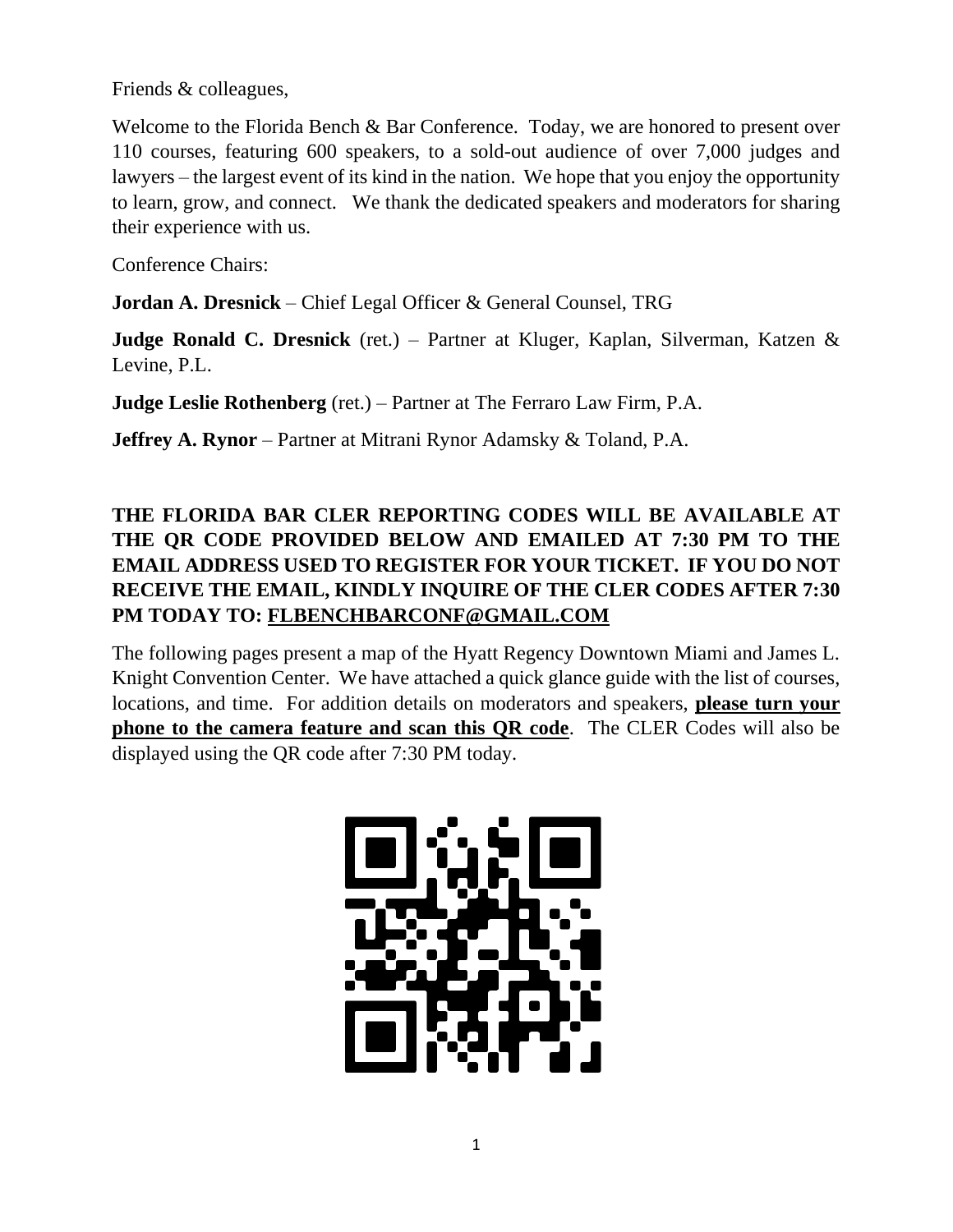Friends & colleagues,

Welcome to the Florida Bench & Bar Conference. Today, we are honored to present over 110 courses, featuring 600 speakers, to a sold-out audience of over 7,000 judges and lawyers – the largest event of its kind in the nation. We hope that you enjoy the opportunity to learn, grow, and connect. We thank the dedicated speakers and moderators for sharing their experience with us.

Conference Chairs:

**Jordan A. Dresnick** – Chief Legal Officer & General Counsel, TRG

**Judge Ronald C. Dresnick** (ret.) – Partner at Kluger, Kaplan, Silverman, Katzen & Levine, P.L.

**Judge Leslie Rothenberg** (ret.) – Partner at The Ferraro Law Firm, P.A.

**Jeffrey A. Rynor** – Partner at Mitrani Rynor Adamsky & Toland, P.A.

#### **THE FLORIDA BAR CLER REPORTING CODES WILL BE AVAILABLE AT THE QR CODE PROVIDED BELOW AND EMAILED AT 7:30 PM TO THE EMAIL ADDRESS USED TO REGISTER FOR YOUR TICKET. IF YOU DO NOT RECEIVE THE EMAIL, KINDLY INQUIRE OF THE CLER CODES AFTER 7:30 PM TODAY TO: FLBENCHBARCONF@GMAIL.COM**

The following pages present a map of the Hyatt Regency Downtown Miami and James L. Knight Convention Center. We have attached a quick glance guide with the list of courses, locations, and time. For addition details on moderators and speakers, **please turn your phone to the camera feature and scan this QR code**. The CLER Codes will also be displayed using the QR code after 7:30 PM today.

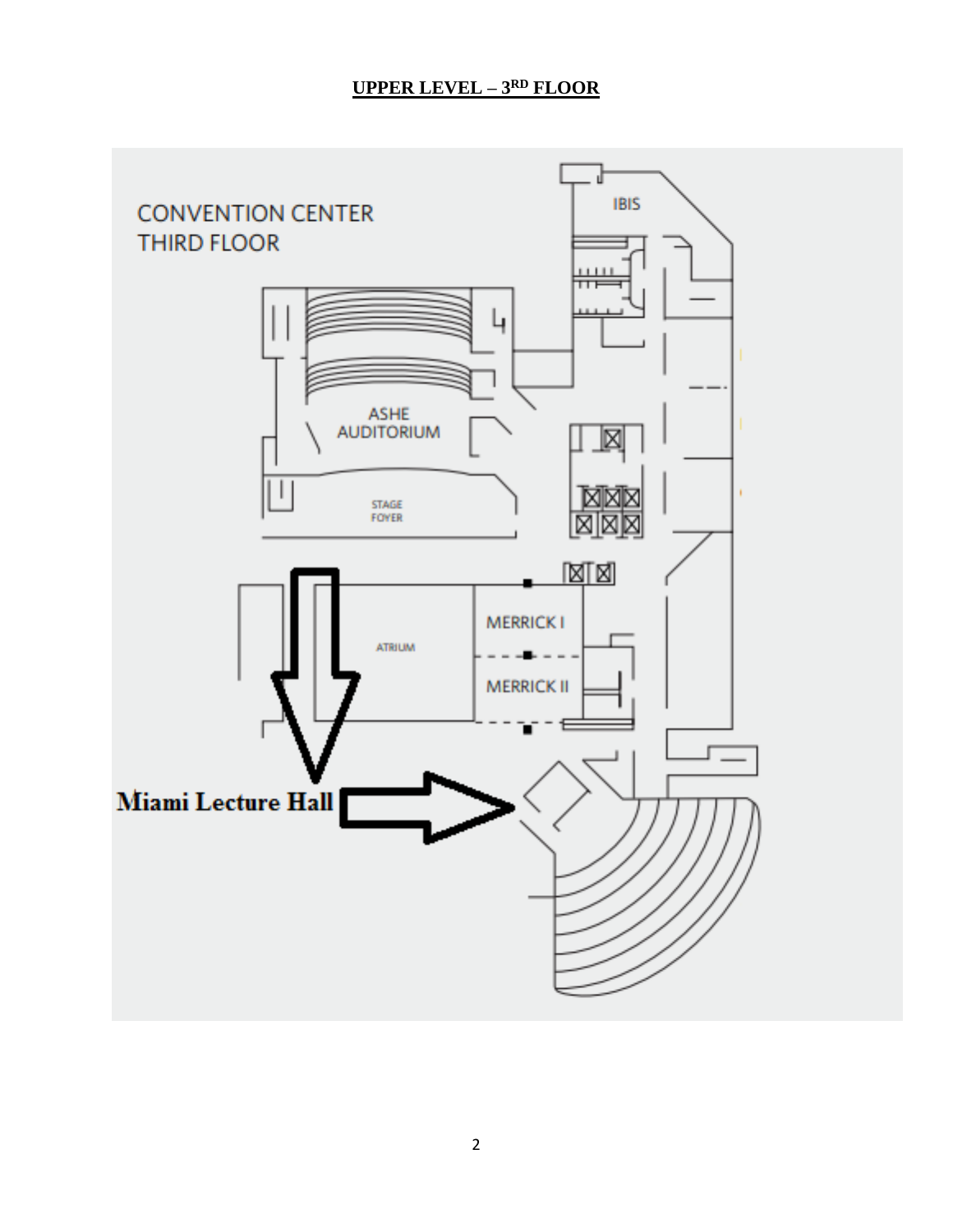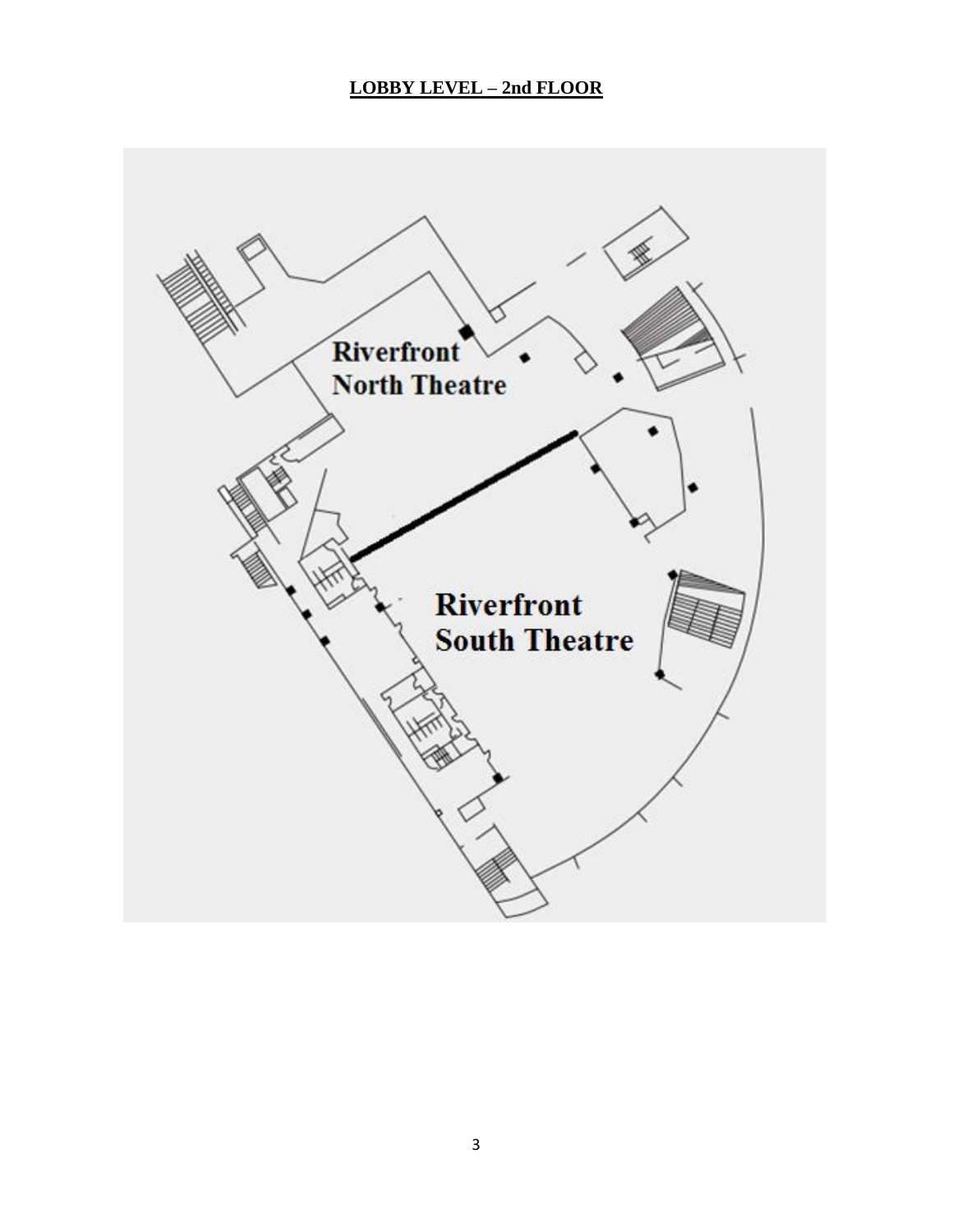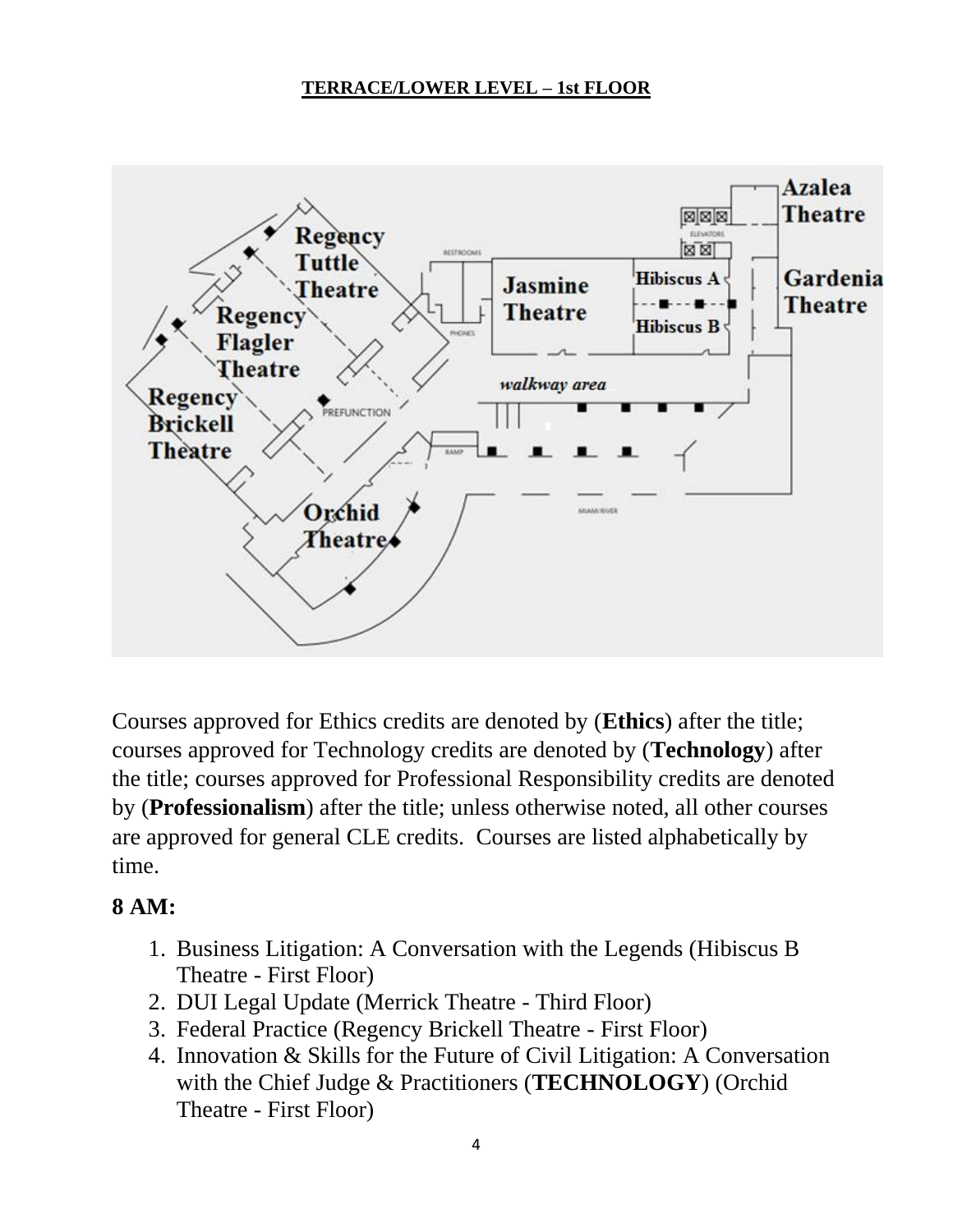

Courses approved for Ethics credits are denoted by (**Ethics**) after the title; courses approved for Technology credits are denoted by (**Technology**) after the title; courses approved for Professional Responsibility credits are denoted by (**Professionalism**) after the title; unless otherwise noted, all other courses are approved for general CLE credits. Courses are listed alphabetically by time.

## **8 AM:**

- 1. Business Litigation: A Conversation with the Legends (Hibiscus B Theatre - First Floor)
- 2. DUI Legal Update (Merrick Theatre Third Floor)
- 3. Federal Practice (Regency Brickell Theatre First Floor)
- 4. Innovation & Skills for the Future of Civil Litigation: A Conversation with the Chief Judge & Practitioners (**TECHNOLOGY**) (Orchid Theatre - First Floor)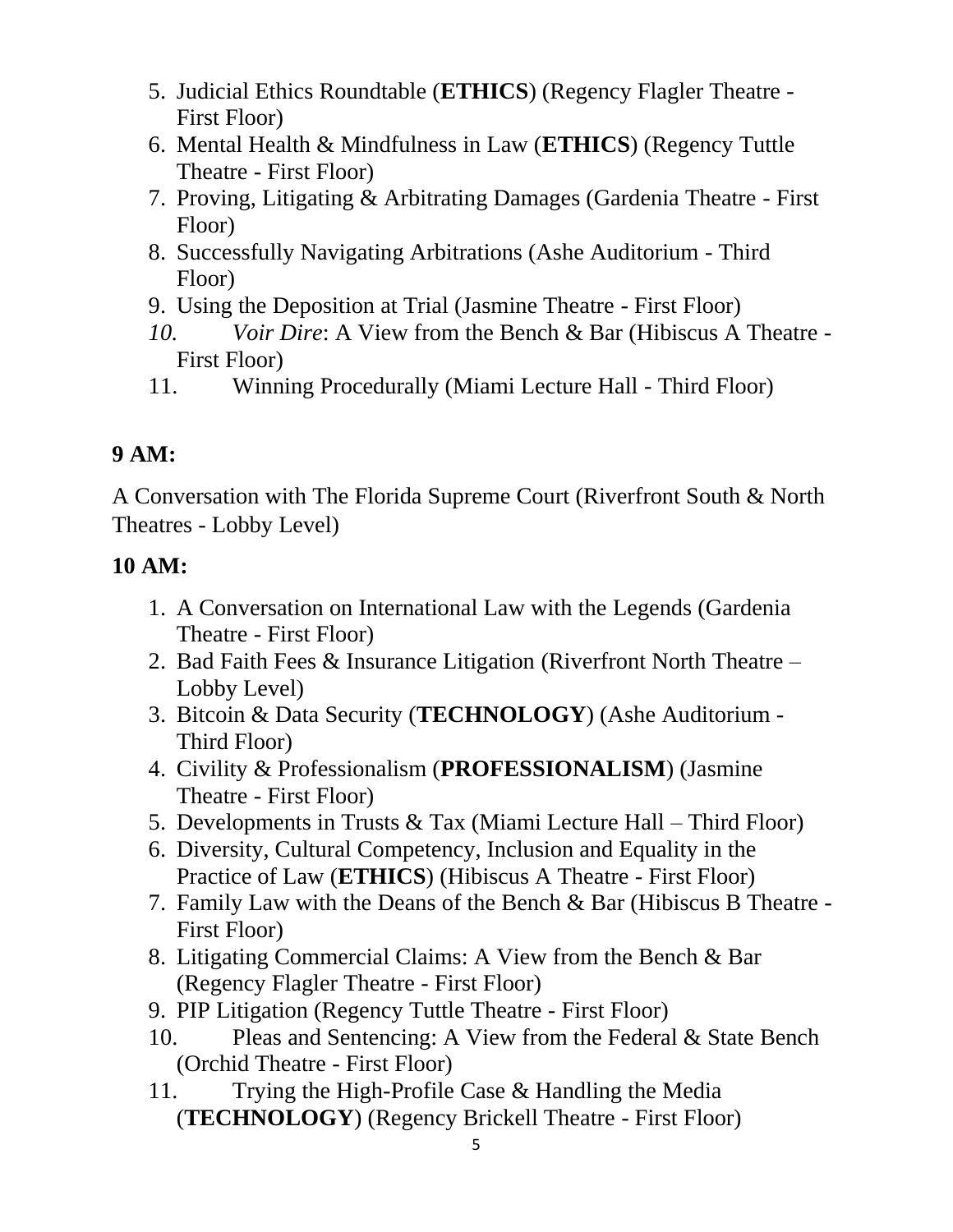- 5. Judicial Ethics Roundtable (**ETHICS**) (Regency Flagler Theatre First Floor)
- 6. Mental Health & Mindfulness in Law (**ETHICS**) (Regency Tuttle Theatre - First Floor)
- 7. Proving, Litigating & Arbitrating Damages (Gardenia Theatre First Floor)
- 8. Successfully Navigating Arbitrations (Ashe Auditorium Third Floor)
- 9. Using the Deposition at Trial (Jasmine Theatre First Floor)
- *10. Voir Dire*: A View from the Bench & Bar (Hibiscus A Theatre First Floor)
- 11. Winning Procedurally (Miami Lecture Hall Third Floor)

## **9 AM:**

A Conversation with The Florida Supreme Court (Riverfront South & North Theatres - Lobby Level)

#### **10 AM:**

- 1. A Conversation on International Law with the Legends (Gardenia Theatre - First Floor)
- 2. Bad Faith Fees & Insurance Litigation (Riverfront North Theatre Lobby Level)
- 3. Bitcoin & Data Security (**TECHNOLOGY**) (Ashe Auditorium Third Floor)
- 4. Civility & Professionalism (**PROFESSIONALISM**) (Jasmine Theatre - First Floor)
- 5. Developments in Trusts & Tax (Miami Lecture Hall Third Floor)
- 6. Diversity, Cultural Competency, Inclusion and Equality in the Practice of Law (**ETHICS**) (Hibiscus A Theatre - First Floor)
- 7. Family Law with the Deans of the Bench & Bar (Hibiscus B Theatre First Floor)
- 8. Litigating Commercial Claims: A View from the Bench & Bar (Regency Flagler Theatre - First Floor)
- 9. PIP Litigation (Regency Tuttle Theatre First Floor)
- 10. Pleas and Sentencing: A View from the Federal & State Bench (Orchid Theatre - First Floor)
- 11. Trying the High-Profile Case & Handling the Media (**TECHNOLOGY**) (Regency Brickell Theatre - First Floor)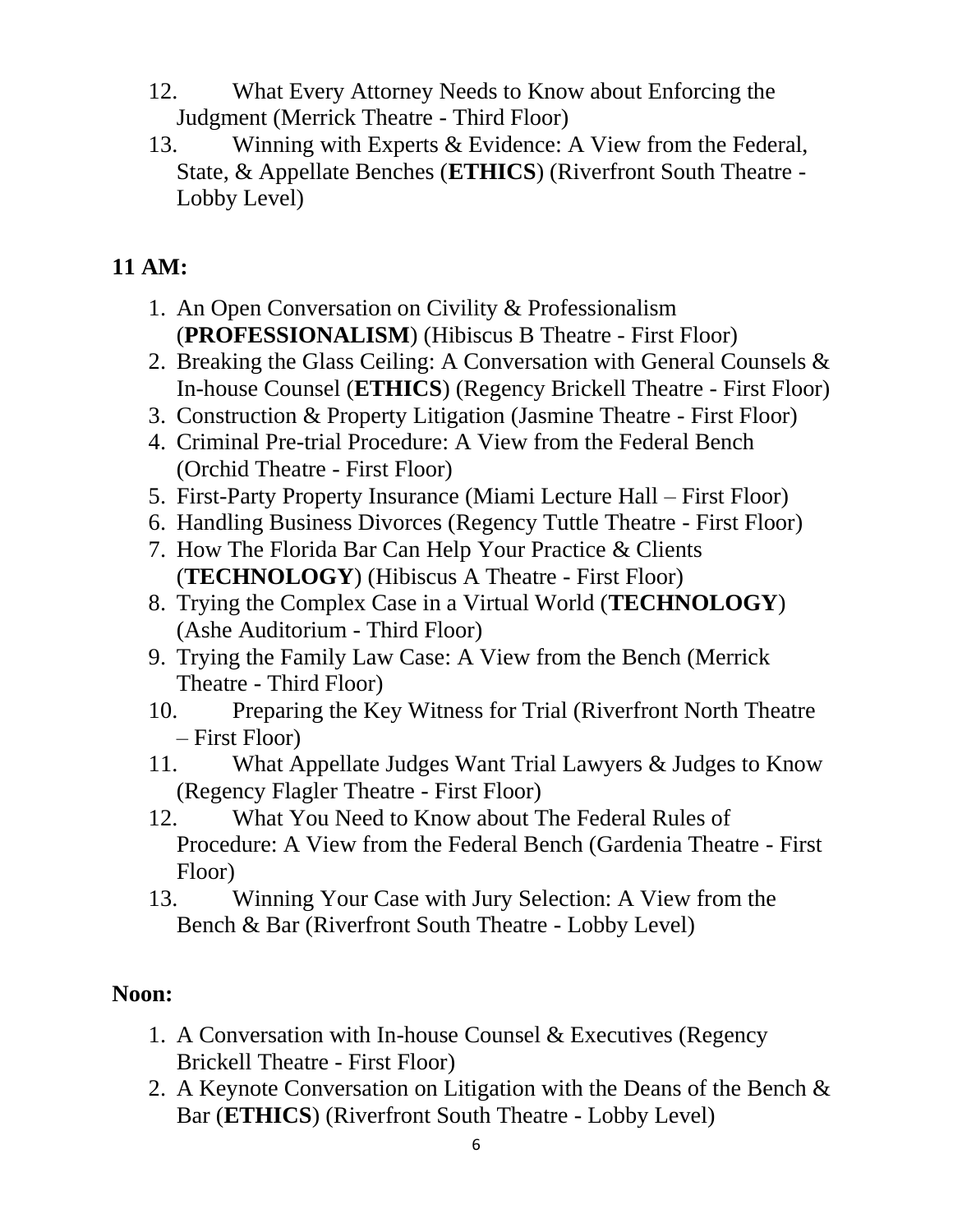- 12. What Every Attorney Needs to Know about Enforcing the Judgment (Merrick Theatre - Third Floor)
- 13. Winning with Experts & Evidence: A View from the Federal, State, & Appellate Benches (**ETHICS**) (Riverfront South Theatre - Lobby Level)

#### **11 AM:**

- 1. An Open Conversation on Civility & Professionalism (**PROFESSIONALISM**) (Hibiscus B Theatre - First Floor)
- 2. Breaking the Glass Ceiling: A Conversation with General Counsels & In-house Counsel (**ETHICS**) (Regency Brickell Theatre - First Floor)
- 3. Construction & Property Litigation (Jasmine Theatre First Floor)
- 4. Criminal Pre-trial Procedure: A View from the Federal Bench (Orchid Theatre - First Floor)
- 5. First-Party Property Insurance (Miami Lecture Hall First Floor)
- 6. Handling Business Divorces (Regency Tuttle Theatre First Floor)
- 7. How The Florida Bar Can Help Your Practice & Clients (**TECHNOLOGY**) (Hibiscus A Theatre - First Floor)
- 8. Trying the Complex Case in a Virtual World (**TECHNOLOGY**) (Ashe Auditorium - Third Floor)
- 9. Trying the Family Law Case: A View from the Bench (Merrick Theatre - Third Floor)
- 10. Preparing the Key Witness for Trial (Riverfront North Theatre – First Floor)
- 11. What Appellate Judges Want Trial Lawyers & Judges to Know (Regency Flagler Theatre - First Floor)
- 12. What You Need to Know about The Federal Rules of Procedure: A View from the Federal Bench (Gardenia Theatre - First Floor)
- 13. Winning Your Case with Jury Selection: A View from the Bench & Bar (Riverfront South Theatre - Lobby Level)

#### **Noon:**

- 1. A Conversation with In-house Counsel & Executives (Regency Brickell Theatre - First Floor)
- 2. A Keynote Conversation on Litigation with the Deans of the Bench & Bar (**ETHICS**) (Riverfront South Theatre - Lobby Level)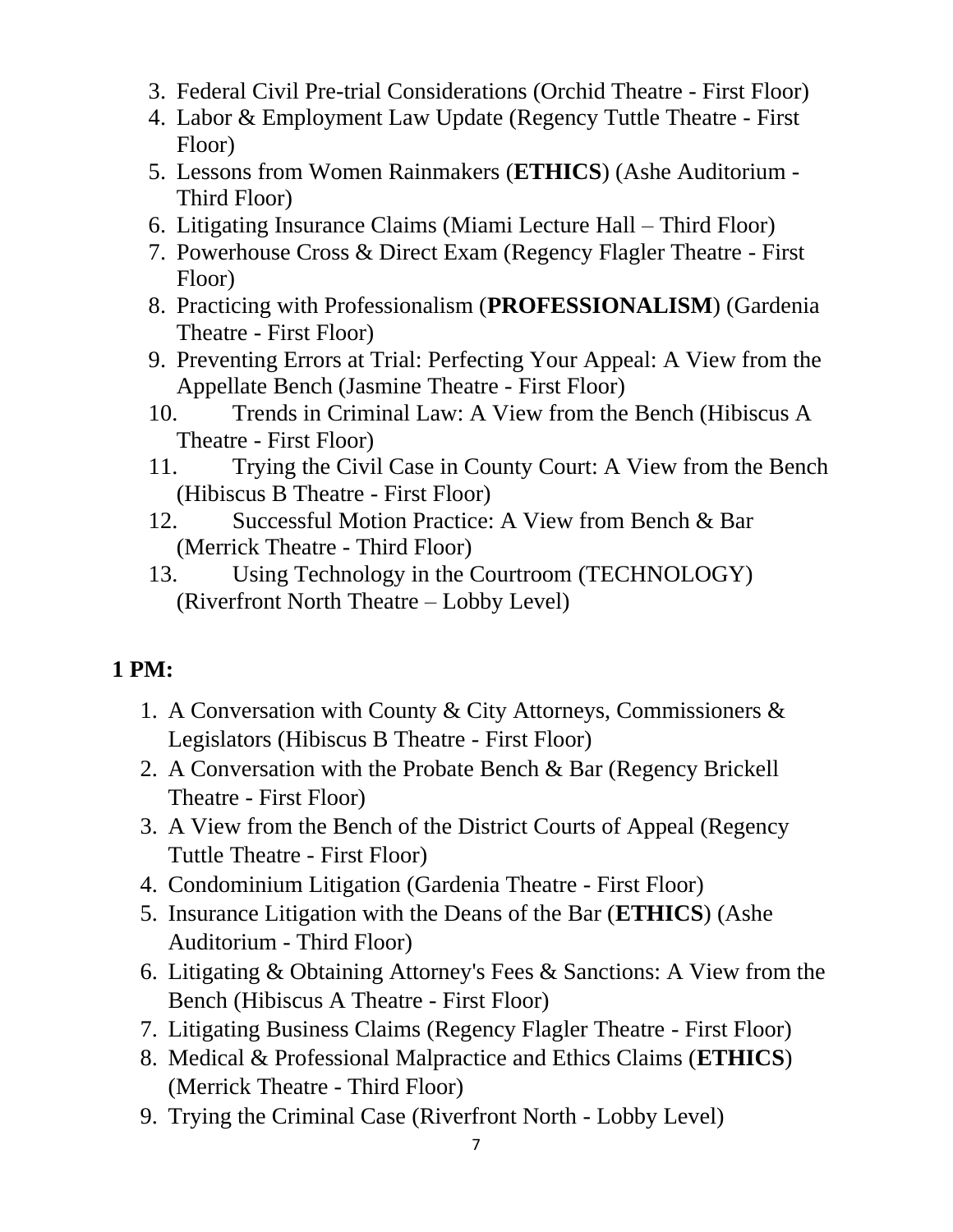- 3. Federal Civil Pre-trial Considerations (Orchid Theatre First Floor)
- 4. Labor & Employment Law Update (Regency Tuttle Theatre First Floor)
- 5. Lessons from Women Rainmakers (**ETHICS**) (Ashe Auditorium Third Floor)
- 6. Litigating Insurance Claims (Miami Lecture Hall Third Floor)
- 7. Powerhouse Cross & Direct Exam (Regency Flagler Theatre First Floor)
- 8. Practicing with Professionalism (**PROFESSIONALISM**) (Gardenia Theatre - First Floor)
- 9. Preventing Errors at Trial: Perfecting Your Appeal: A View from the Appellate Bench (Jasmine Theatre - First Floor)
- 10. Trends in Criminal Law: A View from the Bench (Hibiscus A Theatre - First Floor)
- 11. Trying the Civil Case in County Court: A View from the Bench (Hibiscus B Theatre - First Floor)
- 12. Successful Motion Practice: A View from Bench & Bar (Merrick Theatre - Third Floor)
- 13. Using Technology in the Courtroom (TECHNOLOGY) (Riverfront North Theatre – Lobby Level)

- 1. A Conversation with County & City Attorneys, Commissioners & Legislators (Hibiscus B Theatre - First Floor)
- 2. A Conversation with the Probate Bench & Bar (Regency Brickell Theatre - First Floor)
- 3. A View from the Bench of the District Courts of Appeal (Regency Tuttle Theatre - First Floor)
- 4. Condominium Litigation (Gardenia Theatre First Floor)
- 5. Insurance Litigation with the Deans of the Bar (**ETHICS**) (Ashe Auditorium - Third Floor)
- 6. Litigating & Obtaining Attorney's Fees & Sanctions: A View from the Bench (Hibiscus A Theatre - First Floor)
- 7. Litigating Business Claims (Regency Flagler Theatre First Floor)
- 8. Medical & Professional Malpractice and Ethics Claims (**ETHICS**) (Merrick Theatre - Third Floor)
- 9. Trying the Criminal Case (Riverfront North Lobby Level)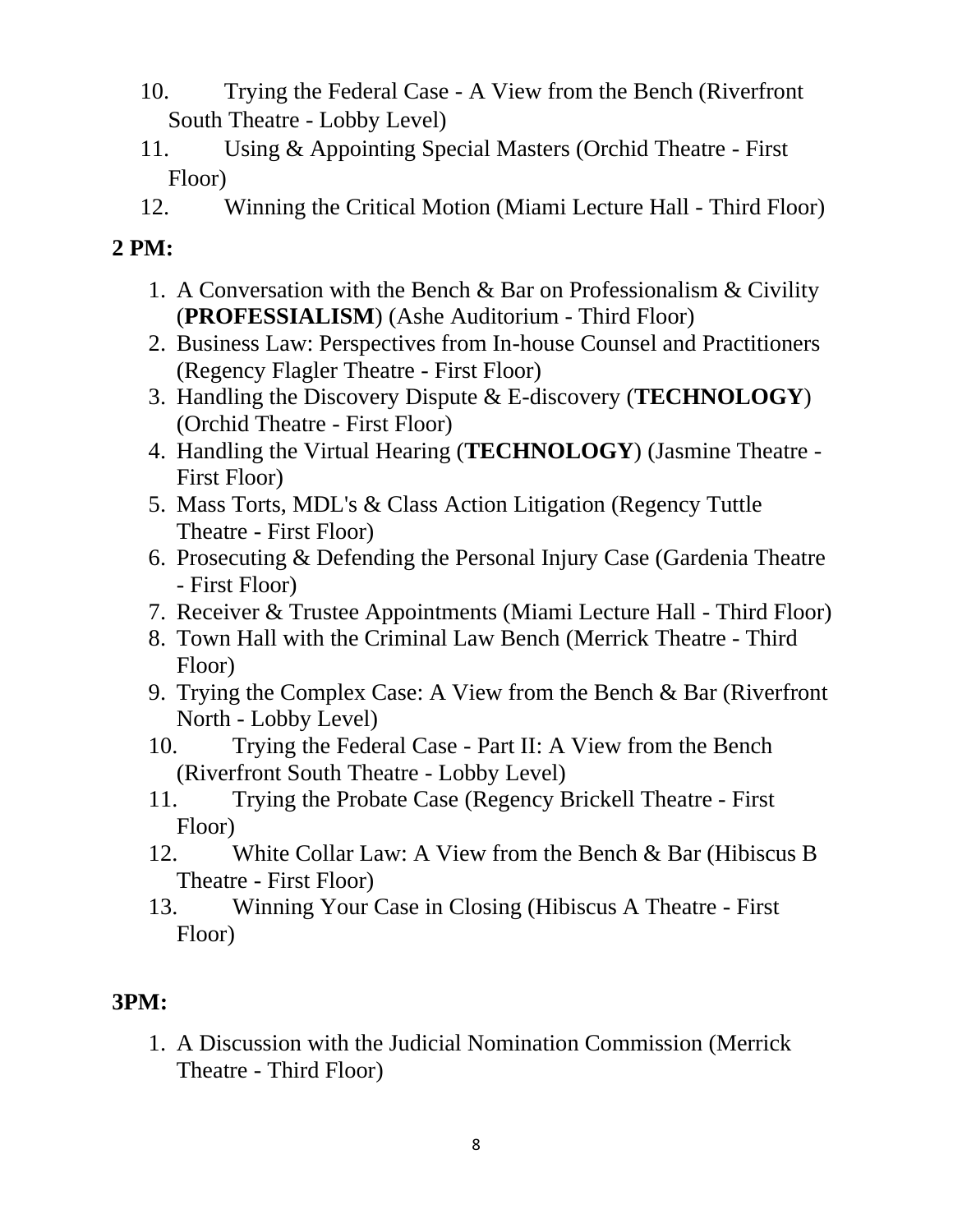- 10. Trying the Federal Case A View from the Bench (Riverfront South Theatre - Lobby Level)
- 11. Using & Appointing Special Masters (Orchid Theatre First Floor)
- 12. Winning the Critical Motion (Miami Lecture Hall Third Floor)

- 1. A Conversation with the Bench & Bar on Professionalism & Civility (**PROFESSIALISM**) (Ashe Auditorium - Third Floor)
- 2. Business Law: Perspectives from In-house Counsel and Practitioners (Regency Flagler Theatre - First Floor)
- 3. Handling the Discovery Dispute & E-discovery (**TECHNOLOGY**) (Orchid Theatre - First Floor)
- 4. Handling the Virtual Hearing (**TECHNOLOGY**) (Jasmine Theatre First Floor)
- 5. Mass Torts, MDL's & Class Action Litigation (Regency Tuttle Theatre - First Floor)
- 6. Prosecuting & Defending the Personal Injury Case (Gardenia Theatre - First Floor)
- 7. Receiver & Trustee Appointments (Miami Lecture Hall Third Floor)
- 8. Town Hall with the Criminal Law Bench (Merrick Theatre Third Floor)
- 9. Trying the Complex Case: A View from the Bench & Bar (Riverfront North - Lobby Level)
- 10. Trying the Federal Case Part II: A View from the Bench (Riverfront South Theatre - Lobby Level)
- 11. Trying the Probate Case (Regency Brickell Theatre First Floor)
- 12. White Collar Law: A View from the Bench & Bar (Hibiscus B Theatre - First Floor)
- 13. Winning Your Case in Closing (Hibiscus A Theatre First Floor)

# **3PM:**

1. A Discussion with the Judicial Nomination Commission (Merrick Theatre - Third Floor)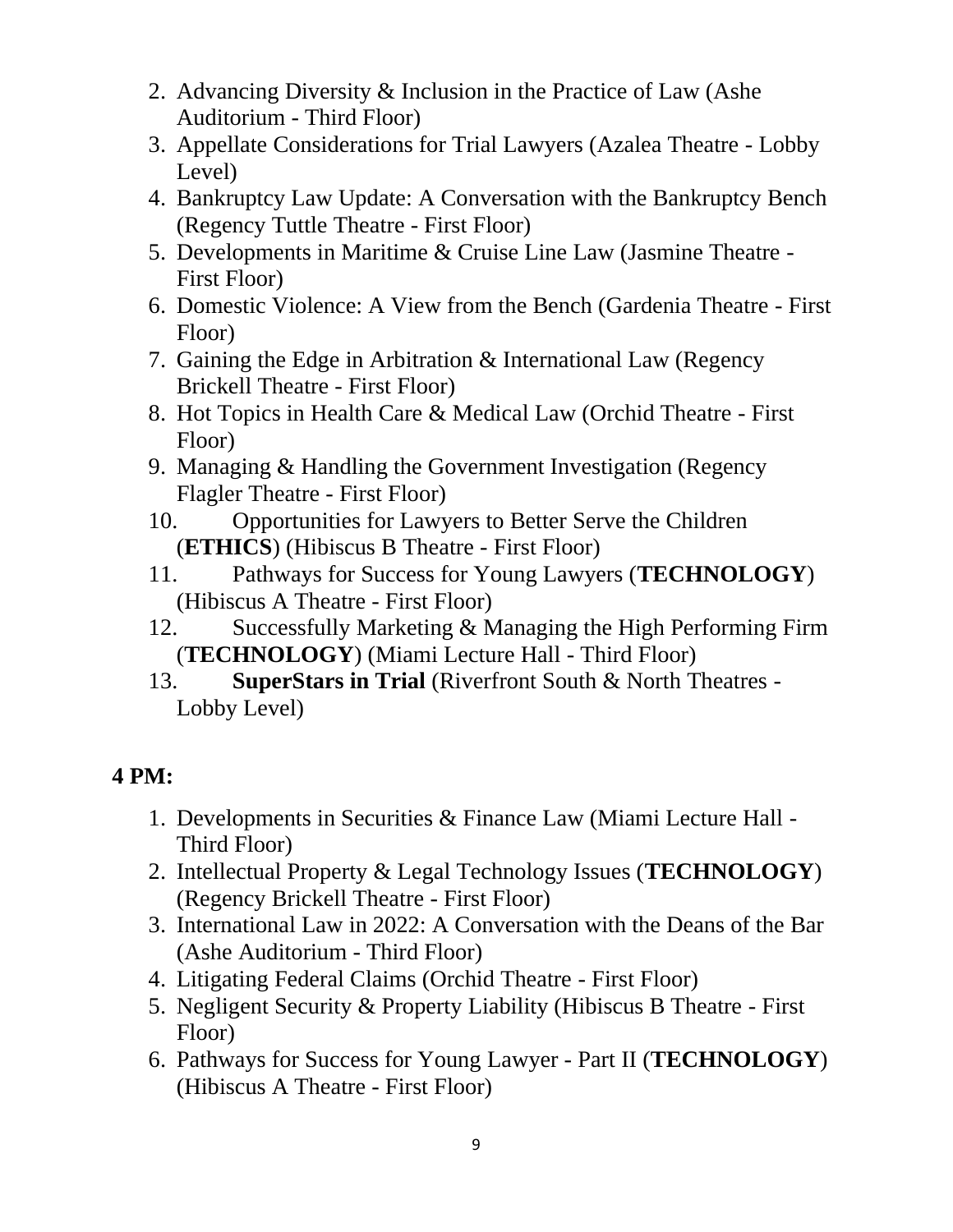- 2. Advancing Diversity & Inclusion in the Practice of Law (Ashe Auditorium - Third Floor)
- 3. Appellate Considerations for Trial Lawyers (Azalea Theatre Lobby Level)
- 4. Bankruptcy Law Update: A Conversation with the Bankruptcy Bench (Regency Tuttle Theatre - First Floor)
- 5. Developments in Maritime & Cruise Line Law (Jasmine Theatre First Floor)
- 6. Domestic Violence: A View from the Bench (Gardenia Theatre First Floor)
- 7. Gaining the Edge in Arbitration & International Law (Regency Brickell Theatre - First Floor)
- 8. Hot Topics in Health Care & Medical Law (Orchid Theatre First Floor)
- 9. Managing & Handling the Government Investigation (Regency Flagler Theatre - First Floor)
- 10. Opportunities for Lawyers to Better Serve the Children (**ETHICS**) (Hibiscus B Theatre - First Floor)
- 11. Pathways for Success for Young Lawyers (**TECHNOLOGY**) (Hibiscus A Theatre - First Floor)
- 12. Successfully Marketing & Managing the High Performing Firm (**TECHNOLOGY**) (Miami Lecture Hall - Third Floor)
- 13. **SuperStars in Trial** (Riverfront South & North Theatres Lobby Level)

- 1. Developments in Securities & Finance Law (Miami Lecture Hall Third Floor)
- 2. Intellectual Property & Legal Technology Issues (**TECHNOLOGY**) (Regency Brickell Theatre - First Floor)
- 3. International Law in 2022: A Conversation with the Deans of the Bar (Ashe Auditorium - Third Floor)
- 4. Litigating Federal Claims (Orchid Theatre First Floor)
- 5. Negligent Security & Property Liability (Hibiscus B Theatre First Floor)
- 6. Pathways for Success for Young Lawyer Part II (**TECHNOLOGY**) (Hibiscus A Theatre - First Floor)